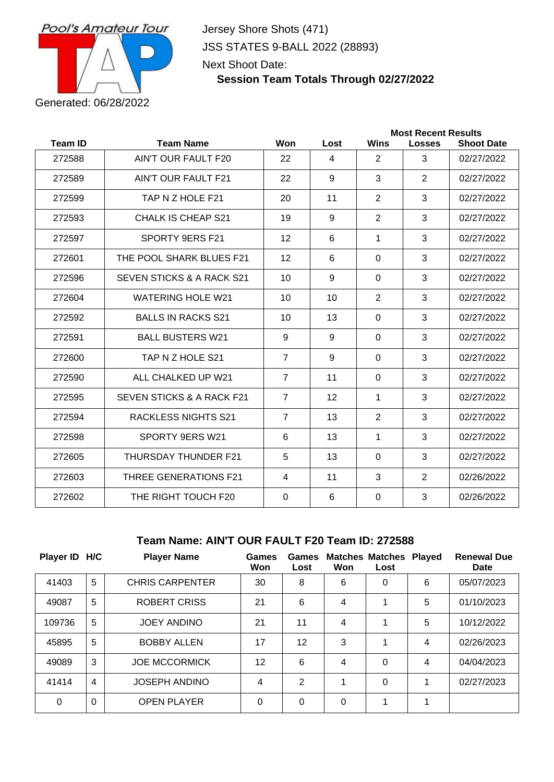

Jersey Shore Shots (471) JSS STATES 9-BALL 2022 (28893) Next Shoot Date:

## **Session Team Totals Through 02/27/2022**

|                |                              | <b>Most Recent Results</b> |      |                |               |                   |  |
|----------------|------------------------------|----------------------------|------|----------------|---------------|-------------------|--|
| <b>Team ID</b> | <b>Team Name</b>             | Won                        | Lost | <b>Wins</b>    | <b>Losses</b> | <b>Shoot Date</b> |  |
| 272588         | AIN'T OUR FAULT F20          | 22                         | 4    | $\overline{2}$ | 3             | 02/27/2022        |  |
| 272589         | AIN'T OUR FAULT F21          | 22                         | 9    | 3              | 2             | 02/27/2022        |  |
| 272599         | TAP N Z HOLE F21             | 20                         | 11   | $\overline{2}$ | 3             | 02/27/2022        |  |
| 272593         | CHALK IS CHEAP S21           | 19                         | 9    | 2              | 3             | 02/27/2022        |  |
| 272597         | SPORTY 9ERS F21              | 12                         | 6    | 1              | 3             | 02/27/2022        |  |
| 272601         | THE POOL SHARK BLUES F21     | 12                         | 6    | $\mathbf 0$    | 3             | 02/27/2022        |  |
| 272596         | SEVEN STICKS & A RACK S21    | 10                         | 9    | $\Omega$       | 3             | 02/27/2022        |  |
| 272604         | <b>WATERING HOLE W21</b>     | 10                         | 10   | 2              | 3             | 02/27/2022        |  |
| 272592         | <b>BALLS IN RACKS S21</b>    | 10                         | 13   | $\Omega$       | 3             | 02/27/2022        |  |
| 272591         | <b>BALL BUSTERS W21</b>      | 9                          | 9    | $\mathbf 0$    | 3             | 02/27/2022        |  |
| 272600         | TAP N Z HOLE S21             | $\overline{7}$             | 9    | $\mathbf 0$    | 3             | 02/27/2022        |  |
| 272590         | ALL CHALKED UP W21           | $\overline{7}$             | 11   | $\Omega$       | 3             | 02/27/2022        |  |
| 272595         | SEVEN STICKS & A RACK F21    | $\overline{7}$             | 12   | 1              | 3             | 02/27/2022        |  |
| 272594         | <b>RACKLESS NIGHTS S21</b>   | $\overline{7}$             | 13   | $\overline{2}$ | 3             | 02/27/2022        |  |
| 272598         | SPORTY 9ERS W21              | 6                          | 13   | 1              | 3             | 02/27/2022        |  |
| 272605         | <b>THURSDAY THUNDER F21</b>  | 5                          | 13   | $\Omega$       | 3             | 02/27/2022        |  |
| 272603         | <b>THREE GENERATIONS F21</b> | $\overline{4}$             | 11   | 3              | 2             | 02/26/2022        |  |
| 272602         | THE RIGHT TOUCH F20          | $\Omega$                   | 6    | 0              | 3             | 02/26/2022        |  |
|                |                              |                            |      |                |               |                   |  |

#### **Team Name: AIN'T OUR FAULT F20 Team ID: 272588**

| Player ID H/C |                | <b>Player Name</b>     | Games<br>Won | Games<br>Lost | Won            | <b>Matches Matches Played</b><br>Lost |   | <b>Renewal Due</b><br>Date |
|---------------|----------------|------------------------|--------------|---------------|----------------|---------------------------------------|---|----------------------------|
| 41403         | 5              | <b>CHRIS CARPENTER</b> | 30           | 8             | 6              | 0                                     | 6 | 05/07/2023                 |
| 49087         | 5              | ROBERT CRISS           | 21           | 6             | $\overline{4}$ |                                       | 5 | 01/10/2023                 |
| 109736        | 5              | <b>JOEY ANDINO</b>     | 21           | 11            | 4              | 1                                     | 5 | 10/12/2022                 |
| 45895         | 5              | <b>BOBBY ALLEN</b>     | 17           | 12            | 3              | 1                                     | 4 | 02/26/2023                 |
| 49089         | 3              | <b>JOE MCCORMICK</b>   | 12           | 6             | $\overline{4}$ | $\Omega$                              | 4 | 04/04/2023                 |
| 41414         | $\overline{4}$ | <b>JOSEPH ANDINO</b>   | 4            | 2             |                | 0                                     |   | 02/27/2023                 |
| $\Omega$      | $\Omega$       | <b>OPEN PLAYER</b>     | $\Omega$     | 0             | $\Omega$       |                                       |   |                            |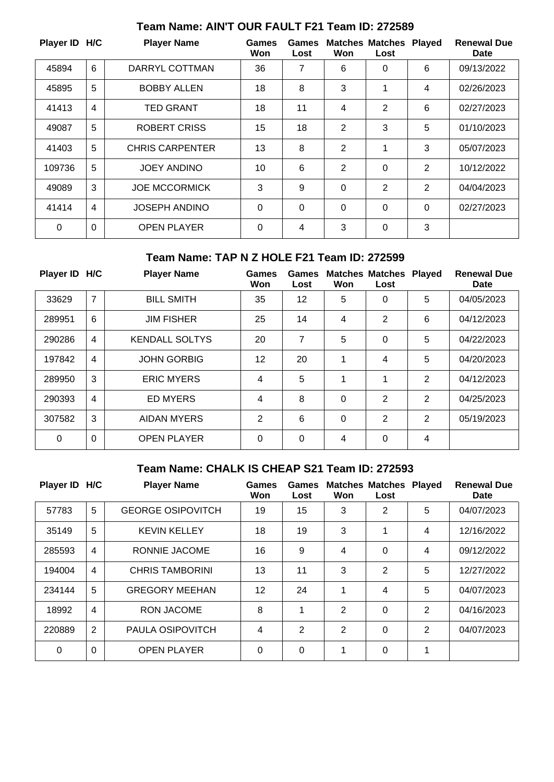| Player ID H/C |                | <b>Player Name</b>     | Games<br>Won | Games<br>Lost | Won            | <b>Matches Matches</b><br>Lost | <b>Played</b>  | <b>Renewal Due</b><br>Date |
|---------------|----------------|------------------------|--------------|---------------|----------------|--------------------------------|----------------|----------------------------|
| 45894         | $6\phantom{1}$ | DARRYL COTTMAN         | 36           | 7             | 6              | 0                              | 6              | 09/13/2022                 |
| 45895         | 5              | <b>BOBBY ALLEN</b>     | 18           | 8             | 3              | 1                              | $\overline{4}$ | 02/26/2023                 |
| 41413         | $\overline{4}$ | <b>TED GRANT</b>       | 18           | 11            | 4              | 2                              | 6              | 02/27/2023                 |
| 49087         | 5              | <b>ROBERT CRISS</b>    | 15           | 18            | $\overline{2}$ | 3                              | 5              | 01/10/2023                 |
| 41403         | 5              | <b>CHRIS CARPENTER</b> | 13           | 8             | $\overline{2}$ | 1                              | 3              | 05/07/2023                 |
| 109736        | 5              | <b>JOEY ANDINO</b>     | 10           | 6             | $\mathbf{2}$   | 0                              | 2              | 10/12/2022                 |
| 49089         | 3              | <b>JOE MCCORMICK</b>   | 3            | 9             | $\Omega$       | 2                              | $\overline{2}$ | 04/04/2023                 |
| 41414         | 4              | <b>JOSEPH ANDINO</b>   | $\Omega$     | $\mathbf 0$   | $\Omega$       | $\Omega$                       | $\Omega$       | 02/27/2023                 |
| $\Omega$      | $\Omega$       | <b>OPEN PLAYER</b>     | $\Omega$     | 4             | 3              | $\Omega$                       | 3              |                            |

# **Team Name: AIN'T OUR FAULT F21 Team ID: 272589**

#### **Team Name: TAP N Z HOLE F21 Team ID: 272599**

| Player ID H/C |                | <b>Player Name</b>    | <b>Games</b><br>Won | Games<br>Lost | Won      | <b>Matches Matches</b><br>Lost | <b>Played</b>  | <b>Renewal Due</b><br>Date |
|---------------|----------------|-----------------------|---------------------|---------------|----------|--------------------------------|----------------|----------------------------|
| 33629         | $\overline{7}$ | <b>BILL SMITH</b>     | 35                  | 12            | 5        | 0                              | 5              | 04/05/2023                 |
| 289951        | 6              | <b>JIM FISHER</b>     | 25                  | 14            | 4        | $\overline{2}$                 | 6              | 04/12/2023                 |
| 290286        | 4              | <b>KENDALL SOLTYS</b> | 20                  | 7             | 5        | 0                              | 5              | 04/22/2023                 |
| 197842        | $\overline{4}$ | <b>JOHN GORBIG</b>    | 12                  | 20            | 1        | 4                              | 5              | 04/20/2023                 |
| 289950        | 3              | <b>ERIC MYERS</b>     | 4                   | 5             | 1        | 1                              | $\overline{2}$ | 04/12/2023                 |
| 290393        | $\overline{4}$ | <b>ED MYERS</b>       | 4                   | 8             | $\Omega$ | 2                              | 2              | 04/25/2023                 |
| 307582        | 3              | <b>AIDAN MYERS</b>    | 2                   | 6             | $\Omega$ | $\overline{2}$                 | 2              | 05/19/2023                 |
| 0             | 0              | <b>OPEN PLAYER</b>    | 0                   | 0             | 4        | 0                              | 4              |                            |

# **Team Name: CHALK IS CHEAP S21 Team ID: 272593**

| Player ID H/C |                | <b>Player Name</b>       | <b>Games</b><br>Won | Games<br>Lost  | Won            | <b>Matches Matches</b><br>Lost | <b>Played</b> | <b>Renewal Due</b><br>Date |
|---------------|----------------|--------------------------|---------------------|----------------|----------------|--------------------------------|---------------|----------------------------|
| 57783         | 5              | <b>GEORGE OSIPOVITCH</b> | 19                  | 15             | 3              | 2                              | 5             | 04/07/2023                 |
| 35149         | 5              | <b>KEVIN KELLEY</b>      | 18                  | 19             | 3              | 1                              | 4             | 12/16/2022                 |
| 285593        | $\overline{4}$ | RONNIE JACOME            | 16                  | 9              | $\overline{4}$ | $\Omega$                       | 4             | 09/12/2022                 |
| 194004        | 4              | <b>CHRIS TAMBORINI</b>   | 13                  | 11             | 3              | $\overline{2}$                 | 5             | 12/27/2022                 |
| 234144        | 5              | <b>GREGORY MEEHAN</b>    | 12 <sup>2</sup>     | 24             | 1              | 4                              | 5             | 04/07/2023                 |
| 18992         | $\overline{4}$ | <b>RON JACOME</b>        | 8                   | 1              | 2              | 0                              | 2             | 04/16/2023                 |
| 220889        | 2              | <b>PAULA OSIPOVITCH</b>  | 4                   | $\overline{2}$ | 2              | 0                              | 2             | 04/07/2023                 |
| 0             | $\overline{0}$ | <b>OPEN PLAYER</b>       | $\Omega$            | $\overline{0}$ | 1              | 0                              | 1             |                            |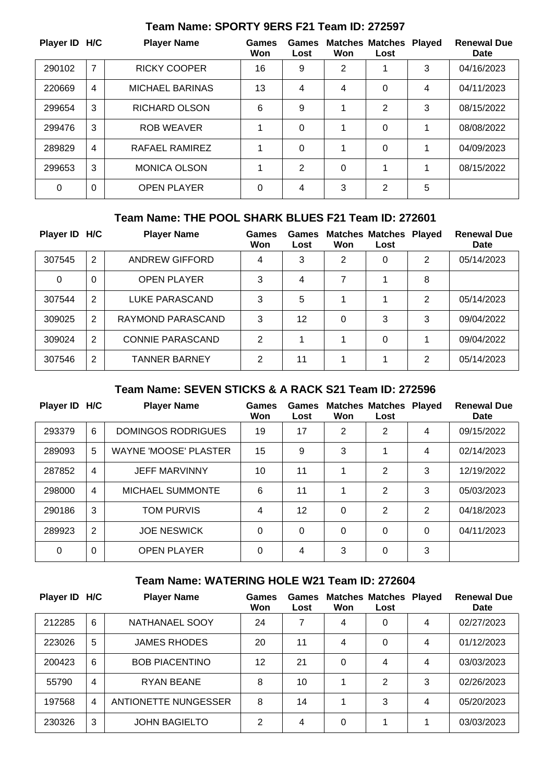| Player ID H/C |                | <b>Player Name</b>     | Games<br>Won | Games<br>Lost | Won | <b>Matches Matches</b><br>Lost | <b>Played</b> | <b>Renewal Due</b><br>Date |
|---------------|----------------|------------------------|--------------|---------------|-----|--------------------------------|---------------|----------------------------|
| 290102        | $\overline{7}$ | <b>RICKY COOPER</b>    | 16           | 9             | 2   |                                | 3             | 04/16/2023                 |
| 220669        | $\overline{4}$ | <b>MICHAEL BARINAS</b> | 13           | 4             | 4   | 0                              | 4             | 04/11/2023                 |
| 299654        | 3              | <b>RICHARD OLSON</b>   | 6            | 9             |     | 2                              | 3             | 08/15/2022                 |
| 299476        | 3              | <b>ROB WEAVER</b>      | 1            | $\mathbf 0$   |     | 0                              | 1             | 08/08/2022                 |
| 289829        | $\overline{4}$ | RAFAEL RAMIREZ         | 1            | 0             |     | 0                              | 1             | 04/09/2023                 |
| 299653        | 3              | <b>MONICA OLSON</b>    | 1            | 2             | 0   | 4                              | 1             | 08/15/2022                 |
| $\Omega$      | $\Omega$       | <b>OPEN PLAYER</b>     | $\Omega$     | 4             | 3   | 2                              | 5             |                            |

# **Team Name: SPORTY 9ERS F21 Team ID: 272597**

### **Team Name: THE POOL SHARK BLUES F21 Team ID: 272601**

| Player ID H/C |   | <b>Player Name</b>      | <b>Games</b><br>Won | Games<br>Lost | Won      | <b>Matches Matches Played</b><br>Lost |   | <b>Renewal Due</b><br>Date |
|---------------|---|-------------------------|---------------------|---------------|----------|---------------------------------------|---|----------------------------|
| 307545        | 2 | <b>ANDREW GIFFORD</b>   | 4                   | 3             | 2        | 0                                     | 2 | 05/14/2023                 |
| $\Omega$      | 0 | <b>OPEN PLAYER</b>      | 3                   | 4             |          |                                       | 8 |                            |
| 307544        | 2 | LUKE PARASCAND          | 3                   | 5             |          |                                       | 2 | 05/14/2023                 |
| 309025        | 2 | RAYMOND PARASCAND       | 3                   | 12            | $\Omega$ | 3                                     | 3 | 09/04/2022                 |
| 309024        | 2 | <b>CONNIE PARASCAND</b> | 2                   |               |          | 0                                     |   | 09/04/2022                 |
| 307546        | 2 | <b>TANNER BARNEY</b>    | 2                   | 11            |          |                                       | 2 | 05/14/2023                 |

#### **Team Name: SEVEN STICKS & A RACK S21 Team ID: 272596**

| Player ID H/C |                | <b>Player Name</b>           | Games<br>Won | Games<br>Lost | Won      | <b>Matches Matches Played</b><br>Lost |          | <b>Renewal Due</b><br>Date |
|---------------|----------------|------------------------------|--------------|---------------|----------|---------------------------------------|----------|----------------------------|
| 293379        | 6              | DOMINGOS RODRIGUES           | 19           | 17            | 2        | 2                                     | 4        | 09/15/2022                 |
| 289093        | 5              | <b>WAYNE 'MOOSE' PLASTER</b> | 15           | 9             | 3        |                                       | 4        | 02/14/2023                 |
| 287852        | 4              | <b>JEFF MARVINNY</b>         | 10           | 11            |          | 2                                     | 3        | 12/19/2022                 |
| 298000        | $\overline{4}$ | <b>MICHAEL SUMMONTE</b>      | 6            | 11            |          | 2                                     | 3        | 05/03/2023                 |
| 290186        | 3              | TOM PURVIS                   | 4            | 12            | $\Omega$ | $\overline{2}$                        | 2        | 04/18/2023                 |
| 289923        | 2              | <b>JOE NESWICK</b>           | $\Omega$     | $\Omega$      | $\Omega$ | 0                                     | $\Omega$ | 04/11/2023                 |
| 0             | $\Omega$       | <b>OPEN PLAYER</b>           | $\Omega$     | 4             | 3        | 0                                     | 3        |                            |

# **Team Name: WATERING HOLE W21 Team ID: 272604**

| Player ID H/C |                | <b>Player Name</b>    | Games<br>Won | Games<br>Lost | Won | <b>Matches Matches</b><br>Lost | <b>Plaved</b> | <b>Renewal Due</b><br>Date |
|---------------|----------------|-----------------------|--------------|---------------|-----|--------------------------------|---------------|----------------------------|
| 212285        | 6              | NATHANAEL SOOY        | 24           | 7             | 4   | 0                              | 4             | 02/27/2023                 |
| 223026        | 5              | <b>JAMES RHODES</b>   | 20           | 11            | 4   | 0                              | 4             | 01/12/2023                 |
| 200423        | 6              | <b>BOB PIACENTINO</b> | 12           | 21            | 0   | 4                              | 4             | 03/03/2023                 |
| 55790         | $\overline{4}$ | <b>RYAN BEANE</b>     | 8            | 10            |     | 2                              | 3             | 02/26/2023                 |
| 197568        | 4              | ANTIONETTE NUNGESSER  | 8            | 14            |     | 3                              | 4             | 05/20/2023                 |
| 230326        | 3              | <b>JOHN BAGIELTO</b>  | 2            | 4             | 0   | 4                              |               | 03/03/2023                 |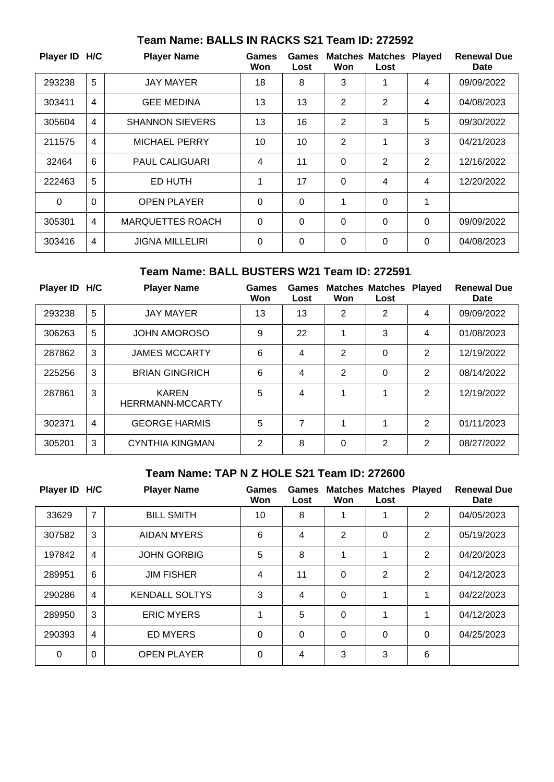| Player ID H/C |          | <b>Player Name</b>      | Games<br>Won | Games<br>Lost | Won            | <b>Matches Matches Played</b><br>Lost |          | <b>Renewal Due</b><br>Date |
|---------------|----------|-------------------------|--------------|---------------|----------------|---------------------------------------|----------|----------------------------|
| 293238        | 5        | <b>JAY MAYER</b>        | 18           | 8             | 3              | 1                                     | 4        | 09/09/2022                 |
| 303411        | 4        | <b>GEE MEDINA</b>       | 13           | 13            | 2              | 2                                     | 4        | 04/08/2023                 |
| 305604        | 4        | <b>SHANNON SIEVERS</b>  | 13           | 16            | 2              | 3                                     | 5        | 09/30/2022                 |
| 211575        | 4        | <b>MICHAEL PERRY</b>    | 10           | 10            | $\overline{2}$ | 1                                     | 3        | 04/21/2023                 |
| 32464         | 6        | <b>PAUL CALIGUARI</b>   | 4            | 11            | $\mathbf 0$    | 2                                     | 2        | 12/16/2022                 |
| 222463        | 5        | ED HUTH                 | 1            | 17            | $\Omega$       | 4                                     | 4        | 12/20/2022                 |
| $\Omega$      | $\Omega$ | <b>OPEN PLAYER</b>      | $\Omega$     | $\Omega$      | 1              | $\Omega$                              | 1        |                            |
| 305301        | 4        | <b>MARQUETTES ROACH</b> | $\Omega$     | $\mathbf 0$   | $\Omega$       | 0                                     | 0        | 09/09/2022                 |
| 303416        | 4        | <b>JIGNA MILLELIRI</b>  | $\Omega$     | $\mathbf 0$   | $\Omega$       | $\Omega$                              | $\Omega$ | 04/08/2023                 |

## **Team Name: BALLS IN RACKS S21 Team ID: 272592**

## **Team Name: BALL BUSTERS W21 Team ID: 272591**

| Player ID H/C |                | <b>Player Name</b>               | Games<br>Won | Games<br>Lost | Won            | <b>Matches Matches</b><br>Lost | <b>Played</b> | <b>Renewal Due</b><br>Date |
|---------------|----------------|----------------------------------|--------------|---------------|----------------|--------------------------------|---------------|----------------------------|
| 293238        | 5              | <b>JAY MAYER</b>                 | 13           | 13            | $\overline{2}$ | 2                              | 4             | 09/09/2022                 |
| 306263        | 5              | <b>JOHN AMOROSO</b>              | 9            | 22            |                | 3                              | 4             | 01/08/2023                 |
| 287862        | 3              | <b>JAMES MCCARTY</b>             | 6            | 4             | 2              | 0                              | 2             | 12/19/2022                 |
| 225256        | 3              | <b>BRIAN GINGRICH</b>            | 6            | 4             | 2              | $\Omega$                       | 2             | 08/14/2022                 |
| 287861        | 3              | <b>KAREN</b><br>HERRMANN-MCCARTY | 5            | 4             | 4              | 1                              | 2             | 12/19/2022                 |
| 302371        | $\overline{4}$ | <b>GEORGE HARMIS</b>             | 5            | 7             | 4              | 1                              | 2             | 01/11/2023                 |
| 305201        | 3              | <b>CYNTHIA KINGMAN</b>           | 2            | 8             | 0              | 2                              | 2             | 08/27/2022                 |

# **Team Name: TAP N Z HOLE S21 Team ID: 272600**

| Player ID H/C |                | <b>Player Name</b>    | Games<br>Won | Games<br>Lost | Won      | <b>Matches Matches</b><br>Lost | <b>Played</b>  | <b>Renewal Due</b><br><b>Date</b> |
|---------------|----------------|-----------------------|--------------|---------------|----------|--------------------------------|----------------|-----------------------------------|
| 33629         | $\overline{7}$ | <b>BILL SMITH</b>     | 10           | 8             |          |                                | $\overline{2}$ | 04/05/2023                        |
| 307582        | 3              | AIDAN MYERS           | 6            | 4             | 2        | 0                              | $\overline{2}$ | 05/19/2023                        |
| 197842        | 4              | <b>JOHN GORBIG</b>    | 5            | 8             | 1        | 1                              | 2              | 04/20/2023                        |
| 289951        | 6              | <b>JIM FISHER</b>     | 4            | 11            | $\Omega$ | 2                              | $\overline{2}$ | 04/12/2023                        |
| 290286        | $\overline{4}$ | <b>KENDALL SOLTYS</b> | 3            | 4             | $\Omega$ | 1                              | 1              | 04/22/2023                        |
| 289950        | 3              | <b>ERIC MYERS</b>     | 1            | 5             | $\Omega$ | 1                              | 1              | 04/12/2023                        |
| 290393        | $\overline{4}$ | <b>ED MYERS</b>       | $\Omega$     | 0             | $\Omega$ | 0                              | $\Omega$       | 04/25/2023                        |
| 0             | $\Omega$       | <b>OPEN PLAYER</b>    | $\Omega$     | 4             | 3        | 3                              | 6              |                                   |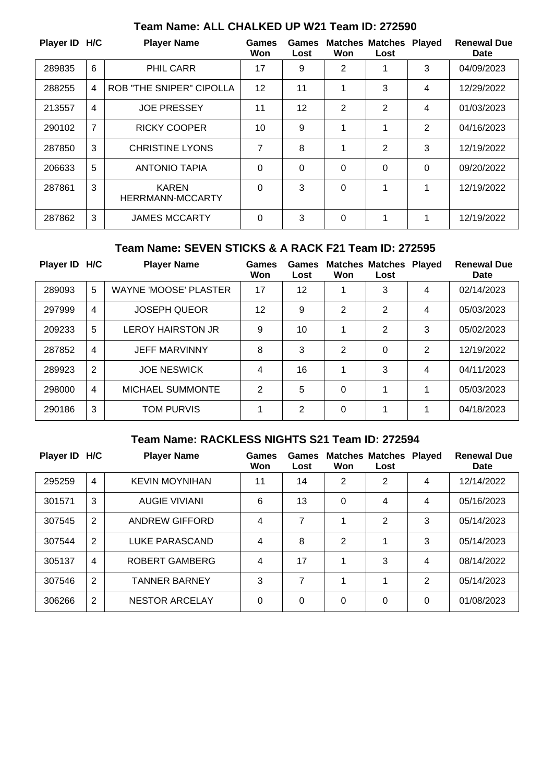| Player ID H/C |                | <b>Player Name</b>               | Games<br>Won | Games<br>Lost | Won      | <b>Matches Matches Played</b><br>Lost |   | <b>Renewal Due</b><br>Date |
|---------------|----------------|----------------------------------|--------------|---------------|----------|---------------------------------------|---|----------------------------|
| 289835        | 6              | <b>PHIL CARR</b>                 | 17           | 9             | 2        |                                       | 3 | 04/09/2023                 |
| 288255        | 4              | <b>ROB "THE SNIPER" CIPOLLA</b>  | 12           | 11            | 1        | 3                                     | 4 | 12/29/2022                 |
| 213557        | 4              | <b>JOE PRESSEY</b>               | 11           | 12            | 2        | $\overline{2}$                        | 4 | 01/03/2023                 |
| 290102        | $\overline{7}$ | <b>RICKY COOPER</b>              | 10           | 9             | 1        | 1                                     | 2 | 04/16/2023                 |
| 287850        | 3              | <b>CHRISTINE LYONS</b>           | 7            | 8             | 1        | 2                                     | 3 | 12/19/2022                 |
| 206633        | 5              | <b>ANTONIO TAPIA</b>             | $\Omega$     | $\Omega$      | 0        | 0                                     | 0 | 09/20/2022                 |
| 287861        | 3              | <b>KAREN</b><br>HERRMANN-MCCARTY | $\Omega$     | 3             | $\Omega$ | 1                                     | 1 | 12/19/2022                 |
| 287862        | 3              | <b>JAMES MCCARTY</b>             | $\Omega$     | 3             | $\Omega$ | 1                                     | 1 | 12/19/2022                 |

# **Team Name: ALL CHALKED UP W21 Team ID: 272590**

### **Team Name: SEVEN STICKS & A RACK F21 Team ID: 272595**

| Player ID H/C |   | <b>Player Name</b>           | Games<br>Won | Games<br>Lost | Won | <b>Matches Matches Played</b><br>Lost |   | <b>Renewal Due</b><br><b>Date</b> |
|---------------|---|------------------------------|--------------|---------------|-----|---------------------------------------|---|-----------------------------------|
| 289093        | 5 | <b>WAYNE 'MOOSE' PLASTER</b> | 17           | 12            | 1   | 3                                     | 4 | 02/14/2023                        |
| 297999        | 4 | <b>JOSEPH QUEOR</b>          | 12           | 9             | 2   | 2                                     | 4 | 05/03/2023                        |
| 209233        | 5 | <b>LEROY HAIRSTON JR</b>     | 9            | 10            | 1   | $\mathbf{2}$                          | 3 | 05/02/2023                        |
| 287852        | 4 | <b>JEFF MARVINNY</b>         | 8            | 3             | 2   | 0                                     | 2 | 12/19/2022                        |
| 289923        | 2 | <b>JOE NESWICK</b>           | 4            | 16            | 1   | 3                                     | 4 | 04/11/2023                        |
| 298000        | 4 | <b>MICHAEL SUMMONTE</b>      | 2            | 5             | 0   | 1                                     | 1 | 05/03/2023                        |
| 290186        | 3 | <b>TOM PURVIS</b>            | 1            | 2             | 0   | 4                                     | 1 | 04/18/2023                        |

## **Team Name: RACKLESS NIGHTS S21 Team ID: 272594**

| Player ID H/C |                | <b>Player Name</b>    | Games<br>Won | Games<br>Lost | Won            | <b>Matches Matches Played</b><br>Lost |   | <b>Renewal Due</b><br>Date |
|---------------|----------------|-----------------------|--------------|---------------|----------------|---------------------------------------|---|----------------------------|
| 295259        | $\overline{4}$ | <b>KEVIN MOYNIHAN</b> | 11           | 14            | $\overline{2}$ | $\overline{2}$                        | 4 | 12/14/2022                 |
| 301571        | 3              | <b>AUGIE VIVIANI</b>  | 6            | 13            | 0              | 4                                     | 4 | 05/16/2023                 |
| 307545        | 2              | ANDREW GIFFORD        | 4            | 7             |                | $\overline{2}$                        | 3 | 05/14/2023                 |
| 307544        | $\overline{2}$ | <b>LUKE PARASCAND</b> | 4            | 8             | $\overline{2}$ |                                       | 3 | 05/14/2023                 |
| 305137        | 4              | ROBERT GAMBERG        | 4            | 17            |                | 3                                     | 4 | 08/14/2022                 |
| 307546        | $\overline{2}$ | <b>TANNER BARNEY</b>  | 3            | 7             |                |                                       | 2 | 05/14/2023                 |
| 306266        | 2              | <b>NESTOR ARCELAY</b> | $\Omega$     | 0             | 0              | 0                                     | 0 | 01/08/2023                 |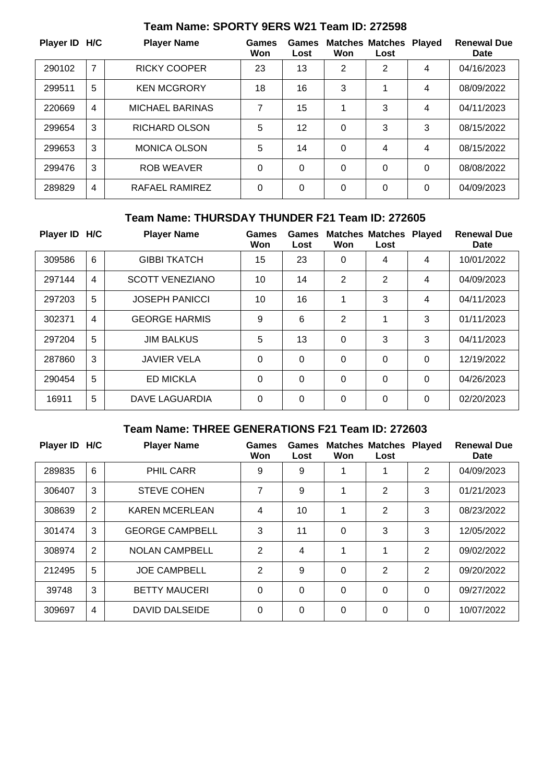| Player ID H/C |                | <b>Player Name</b>     | <b>Games</b><br>Won | Games<br>Lost | Won      | <b>Matches Matches Played</b><br>Lost |          | <b>Renewal Due</b><br>Date |
|---------------|----------------|------------------------|---------------------|---------------|----------|---------------------------------------|----------|----------------------------|
| 290102        | 7              | <b>RICKY COOPER</b>    | 23                  | 13            | 2        | 2                                     | 4        | 04/16/2023                 |
| 299511        | 5              | <b>KEN MCGRORY</b>     | 18                  | 16            | 3        |                                       | 4        | 08/09/2022                 |
| 220669        | $\overline{4}$ | <b>MICHAEL BARINAS</b> | 7                   | 15            |          | 3                                     | 4        | 04/11/2023                 |
| 299654        | 3              | <b>RICHARD OLSON</b>   | 5                   | 12            | $\Omega$ | 3                                     | 3        | 08/15/2022                 |
| 299653        | 3              | <b>MONICA OLSON</b>    | 5                   | 14            | $\Omega$ | 4                                     | 4        | 08/15/2022                 |
| 299476        | 3              | <b>ROB WEAVER</b>      | $\Omega$            | $\Omega$      | $\Omega$ | 0                                     | $\Omega$ | 08/08/2022                 |
| 289829        | $\overline{4}$ | RAFAEL RAMIREZ         | $\Omega$            | $\Omega$      | $\Omega$ | 0                                     | 0        | 04/09/2023                 |

# **Team Name: SPORTY 9ERS W21 Team ID: 272598**

## **Team Name: THURSDAY THUNDER F21 Team ID: 272605**

| Player ID H/C |                | <b>Player Name</b>     | Games<br>Won | Games<br>Lost | Won            | <b>Matches Matches</b><br>Lost | <b>Played</b> | <b>Renewal Due</b><br><b>Date</b> |
|---------------|----------------|------------------------|--------------|---------------|----------------|--------------------------------|---------------|-----------------------------------|
| 309586        | 6              | <b>GIBBI TKATCH</b>    | 15           | 23            | $\Omega$       | 4                              | 4             | 10/01/2022                        |
| 297144        | $\overline{4}$ | <b>SCOTT VENEZIANO</b> | 10           | 14            | 2              | 2                              | 4             | 04/09/2023                        |
| 297203        | 5              | <b>JOSEPH PANICCI</b>  | 10           | 16            | 1              | 3                              | 4             | 04/11/2023                        |
| 302371        | $\overline{4}$ | <b>GEORGE HARMIS</b>   | 9            | 6             | $\overline{2}$ | 1                              | 3             | 01/11/2023                        |
| 297204        | 5              | <b>JIM BALKUS</b>      | 5            | 13            | $\Omega$       | 3                              | 3             | 04/11/2023                        |
| 287860        | 3              | <b>JAVIER VELA</b>     | $\Omega$     | $\Omega$      | $\overline{0}$ | 0                              | $\Omega$      | 12/19/2022                        |
| 290454        | 5              | <b>ED MICKLA</b>       | $\Omega$     | $\Omega$      | $\Omega$       | 0                              | 0             | 04/26/2023                        |
| 16911         | 5              | DAVE LAGUARDIA         | $\Omega$     | $\Omega$      | $\Omega$       | 0                              | 0             | 02/20/2023                        |

### **Team Name: THREE GENERATIONS F21 Team ID: 272603**

| Player ID H/C |   | <b>Player Name</b>     | <b>Games</b><br>Won | <b>Games</b><br>Lost | Won | <b>Matches Matches</b><br>Lost | <b>Played</b> | <b>Renewal Due</b><br>Date |
|---------------|---|------------------------|---------------------|----------------------|-----|--------------------------------|---------------|----------------------------|
| 289835        | 6 | <b>PHIL CARR</b>       | 9                   | 9                    |     | 1                              | 2             | 04/09/2023                 |
| 306407        | 3 | <b>STEVE COHEN</b>     | 7                   | 9                    | 1   | $\overline{2}$                 | 3             | 01/21/2023                 |
| 308639        | 2 | <b>KAREN MCERLEAN</b>  | 4                   | 10                   | 1   | 2                              | 3             | 08/23/2022                 |
| 301474        | 3 | <b>GEORGE CAMPBELL</b> | 3                   | 11                   | 0   | 3                              | 3             | 12/05/2022                 |
| 308974        | 2 | <b>NOLAN CAMPBELL</b>  | $\overline{2}$      | 4                    | 1   | 1                              | 2             | 09/02/2022                 |
| 212495        | 5 | <b>JOE CAMPBELL</b>    | 2                   | 9                    | 0   | 2                              | 2             | 09/20/2022                 |
| 39748         | 3 | <b>BETTY MAUCERI</b>   | $\Omega$            | $\mathbf 0$          | 0   | 0                              | 0             | 09/27/2022                 |
| 309697        | 4 | DAVID DALSEIDE         | $\Omega$            | $\overline{0}$       | 0   | $\Omega$                       | 0             | 10/07/2022                 |